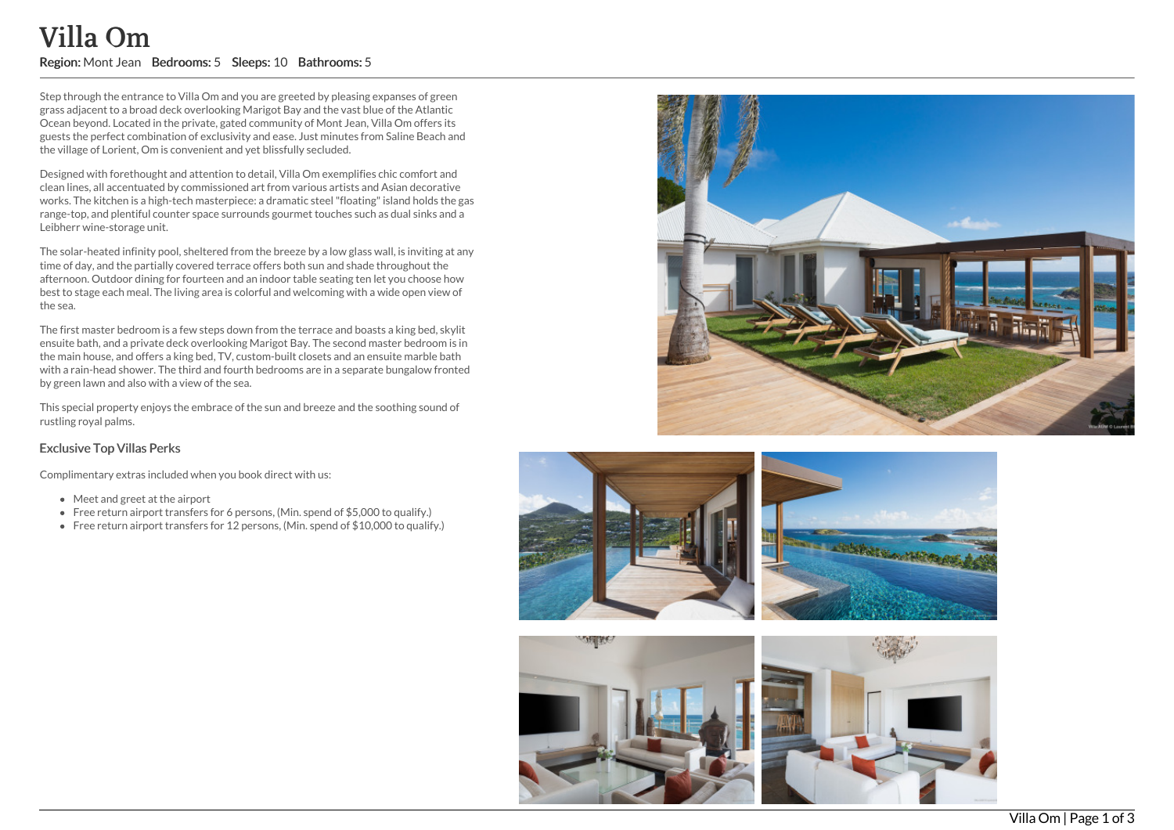Step through the entrance to Villa Om and you are greeted by pleasing expanses of green grass adjacent to a broad deck overlooking Marigot Bay and the vast blue of the Atlantic Ocean beyond. Located in the private, gated community of Mont Jean, Villa Om offers its guests the perfect combination of exclusivity and ease. Just minutes from Saline Beach and the village of Lorient, Om is convenient and yet blissfully secluded.

Designed with forethought and attention to detail, Villa Om exemplifies chic comfort and clean lines, all accentuated by commissioned art from various artists and Asian decorative works. The kitchen is a high-tech masterpiece: a dramatic steel"floating"island holds the gas range-top, and plentiful counter space surrounds gourmet touches such as dual sinks and a Leibherr wine-storage unit.

The solar-heated infinity pool, sheltered from the breeze by a low glass wall, is inviting at any time of day, and the partially covered terrace offers both sun and shade throughout the afternoon. Outdoor dining for fourteen and an indoor table seating ten let you choose how best to stage each meal. The living area is colorful and welcoming with a wide open view of the sea.

The first master bedroom is a few steps down from the terrace and boasts a king bed, skylit ensuite bath, and a private deck overlooking Marigot Bay. The second master bedroom is in the main house, and offers a king bed, TV, custom-built closets and an ensuite marble bath with a rain-head shower. The third and fourth bedrooms are in a separate bungalow fronted by green lawn and also with a view of the sea.

This special property enjoys the embrace of the sun and breeze and the soothing sound of rustling royal palms.

## Exclusive Top Villas Perks

Complimentary extras included when you book direct with us:

- Meet and greet at the airport
- Free return airport transfers for 6 persons, (Min. spend of \$5,000 to qualify.)
- Free return airport transfers for 12 persons, (Min. spend of \$10,000 to qualify.)





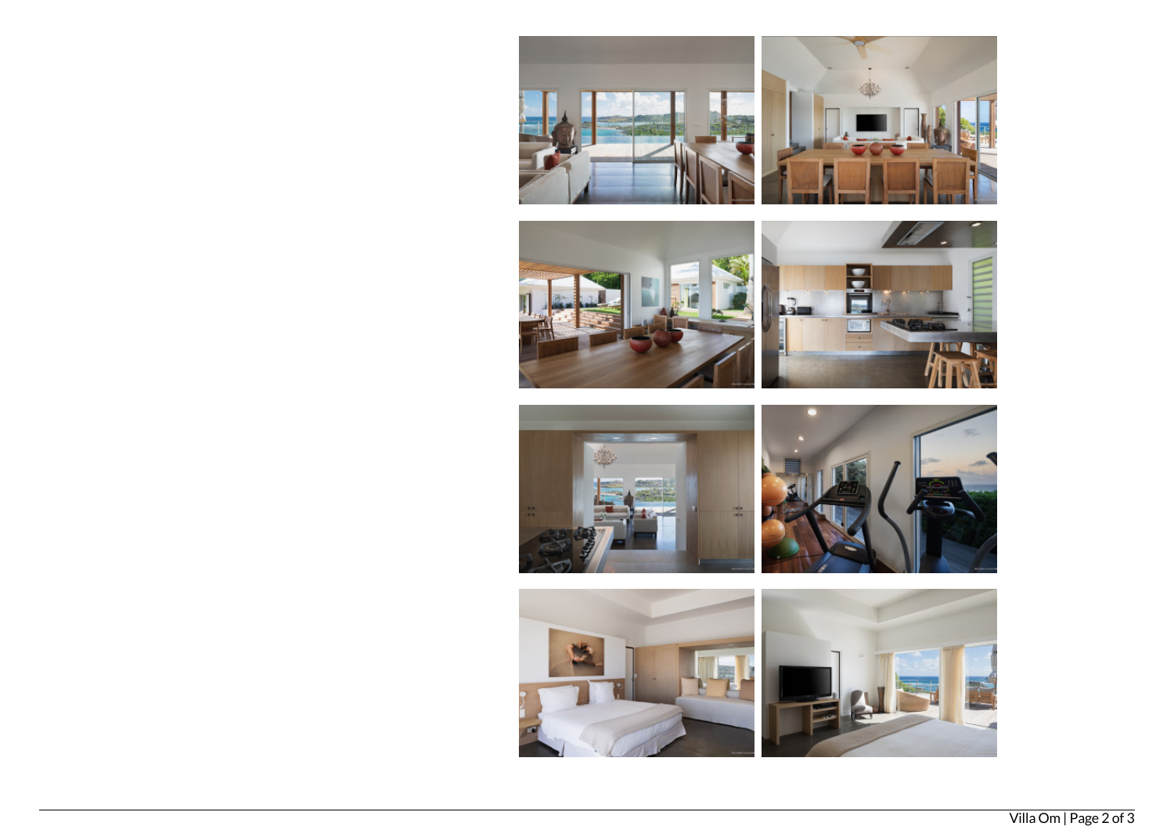